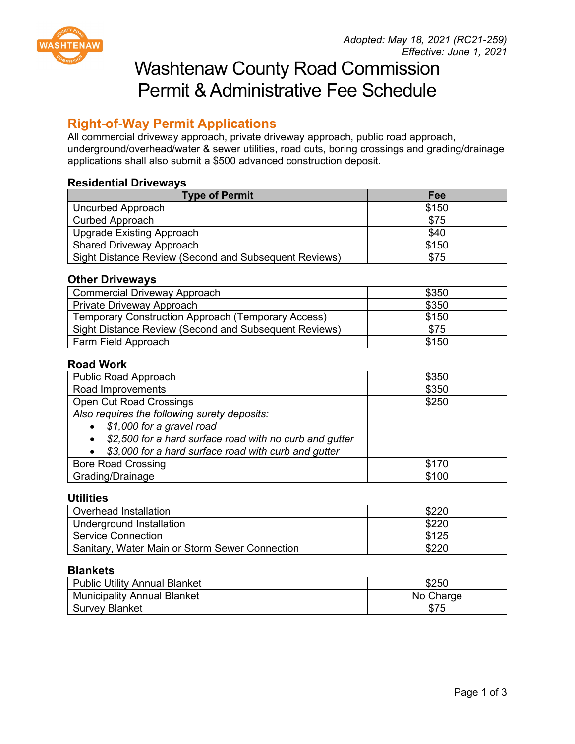

# Washtenaw County Road Commission Permit & Administrative Fee Schedule

# **Right-of-Way Permit Applications**

All commercial driveway approach, private driveway approach, public road approach, underground/overhead/water & sewer utilities, road cuts, boring crossings and grading/drainage applications shall also submit a \$500 advanced construction deposit.

## **Residential Driveways**

| <b>Type of Permit</b>                                 | Fee   |
|-------------------------------------------------------|-------|
| Uncurbed Approach                                     | \$150 |
| <b>Curbed Approach</b>                                | \$75  |
| Upgrade Existing Approach                             | \$40  |
| <b>Shared Driveway Approach</b>                       | \$150 |
| Sight Distance Review (Second and Subsequent Reviews) | \$75  |

## **Other Driveways**

| <b>Commercial Driveway Approach</b>                       | \$350 |
|-----------------------------------------------------------|-------|
| Private Driveway Approach                                 | \$350 |
| <b>Temporary Construction Approach (Temporary Access)</b> | \$150 |
| Sight Distance Review (Second and Subsequent Reviews)     | \$75  |
| Farm Field Approach                                       | \$150 |

## **Road Work**

| Public Road Approach                                                 | \$350 |
|----------------------------------------------------------------------|-------|
| Road Improvements                                                    | \$350 |
| Open Cut Road Crossings                                              | \$250 |
| Also requires the following surety deposits:                         |       |
| \$1,000 for a gravel road                                            |       |
| \$2,500 for a hard surface road with no curb and gutter<br>$\bullet$ |       |
| \$3,000 for a hard surface road with curb and gutter                 |       |
| <b>Bore Road Crossing</b>                                            | \$170 |
| Grading/Drainage                                                     | \$100 |

## **Utilities**

| Overhead Installation                          | \$220 |
|------------------------------------------------|-------|
| Underground Installation                       | \$220 |
| <b>Service Connection</b>                      | \$125 |
| Sanitary, Water Main or Storm Sewer Connection | \$220 |

#### **Blankets**

| <b>Public Utility Annual Blanket</b> | \$250     |
|--------------------------------------|-----------|
| <b>Municipality Annual Blanket</b>   | No Charge |
| <b>Survey Blanket</b>                | \$75      |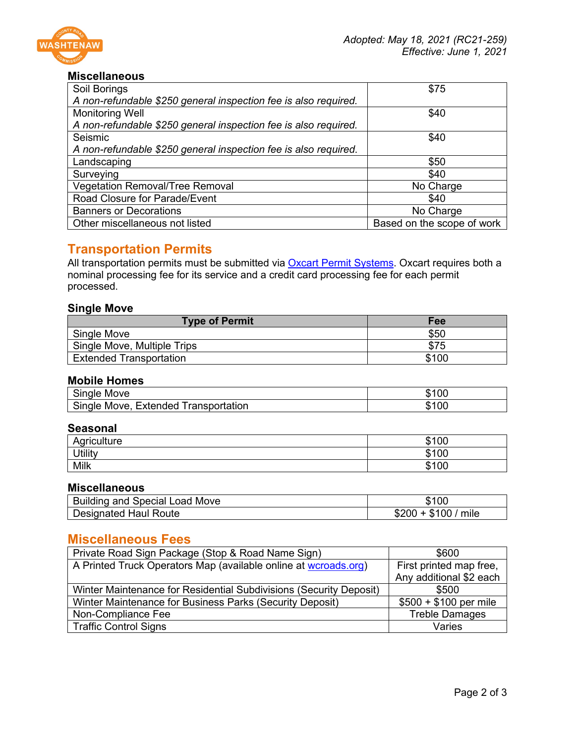

# **Miscellaneous**

| Soil Borings                                                    | \$75                       |
|-----------------------------------------------------------------|----------------------------|
| A non-refundable \$250 general inspection fee is also required. |                            |
| <b>Monitoring Well</b>                                          | \$40                       |
| A non-refundable \$250 general inspection fee is also required. |                            |
| Seismic                                                         | \$40                       |
| A non-refundable \$250 general inspection fee is also required. |                            |
| Landscaping                                                     | \$50                       |
| Surveying                                                       | \$40                       |
| <b>Vegetation Removal/Tree Removal</b>                          | No Charge                  |
| Road Closure for Parade/Event                                   | \$40                       |
| <b>Banners or Decorations</b>                                   | No Charge                  |
| Other miscellaneous not listed                                  | Based on the scope of work |

# **Transportation Permits**

All transportation permits must be submitted via **Oxcart Permit Systems**. Oxcart requires both a nominal processing fee for its service and a credit card processing fee for each permit processed.

## **Single Move**

| <b>Type of Permit</b>          | Fee   |
|--------------------------------|-------|
| Single Move                    | \$50  |
| Single Move, Multiple Trips    | \$75  |
| <b>Extended Transportation</b> | \$100 |

## **Mobile Homes**

| $\sim$<br>Move<br>$\sim$<br>ле<br>ווכ                                 | 100<br>m.<br>۰D      |
|-----------------------------------------------------------------------|----------------------|
| $\sim$<br>l ransportation<br><b>Extended</b><br>∵nale …<br>Move<br>ગા | 100<br>$\sim$<br>۰D. |

#### **Seasonal**

| <b>\griculture</b><br>٦u. | \$100 |
|---------------------------|-------|
| <b>Jtility</b>            | \$100 |
| Milk                      | \$100 |

## **Miscellaneous**

| <b>Building and Special Load Move</b> | <sub>00</sub>                                |
|---------------------------------------|----------------------------------------------|
| Designated Haul Route                 | mile<br>$\degree$ + \$100 $\degree$<br>\$200 |

# **Miscellaneous Fees**

| Private Road Sign Package (Stop & Road Name Sign)                  | \$600                   |
|--------------------------------------------------------------------|-------------------------|
| A Printed Truck Operators Map (available online at wcroads.org)    | First printed map free, |
|                                                                    | Any additional \$2 each |
| Winter Maintenance for Residential Subdivisions (Security Deposit) | \$500                   |
| Winter Maintenance for Business Parks (Security Deposit)           | $$500 + $100$ per mile  |
| Non-Compliance Fee                                                 | <b>Treble Damages</b>   |
| <b>Traffic Control Signs</b>                                       | Varies                  |